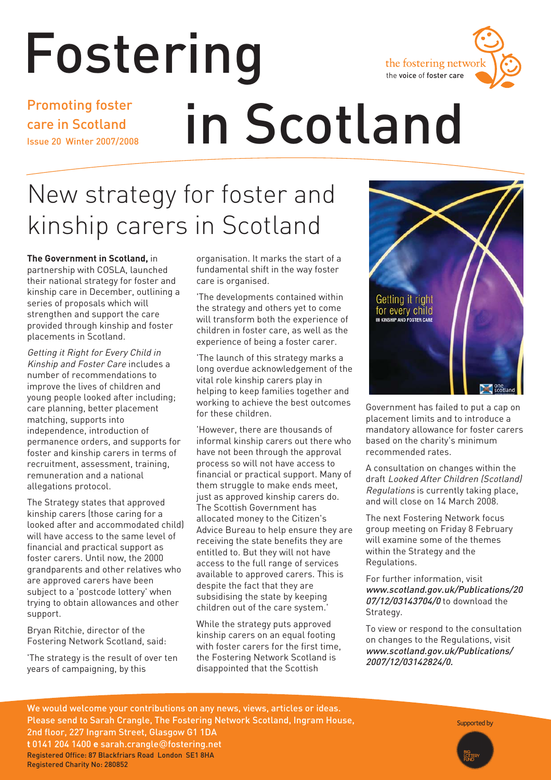

# Fostering

Promoting foster care in Scotland Issue 20 Winter 2007/2008

# in Scotland

## New strategy for foster and kinship carers in Scotland

**The Government in Scotland,** in partnership with COSLA, launched their national strategy for foster and kinship care in December, outlining a series of proposals which will strengthen and support the care provided through kinship and foster placements in Scotland.

Getting it Right for Every Child in Kinship and Foster Care includes a number of recommendations to improve the lives of children and young people looked after including; care planning, better placement matching, supports into independence, introduction of permanence orders, and supports for foster and kinship carers in terms of recruitment, assessment, training, remuneration and a national allegations protocol.

The Strategy states that approved kinship carers (those caring for a looked after and accommodated child) will have access to the same level of financial and practical support as foster carers. Until now, the 2000 grandparents and other relatives who are approved carers have been subject to a 'postcode lottery' when trying to obtain allowances and other support.

Bryan Ritchie, director of the Fostering Network Scotland, said:

'The strategy is the result of over ten years of campaigning, by this

organisation. It marks the start of a fundamental shift in the way foster care is organised.

'The developments contained within the strategy and others yet to come will transform both the experience of children in foster care, as well as the experience of being a foster carer.

'The launch of this strategy marks a long overdue acknowledgement of the vital role kinship carers play in helping to keep families together and working to achieve the best outcomes for these children.

'However, there are thousands of informal kinship carers out there who have not been through the approval process so will not have access to financial or practical support. Many of them struggle to make ends meet, just as approved kinship carers do. The Scottish Government has allocated money to the Citizen's Advice Bureau to help ensure they are receiving the state benefits they are entitled to. But they will not have access to the full range of services available to approved carers. This is despite the fact that they are subsidising the state by keeping children out of the care system.'

While the strategy puts approved kinship carers on an equal footing with foster carers for the first time, the Fostering Network Scotland is disappointed that the Scottish



Government has failed to put a cap on placement limits and to introduce a mandatory allowance for foster carers based on the charity's minimum recommended rates.

A consultation on changes within the draft Looked After Children (Scotland) Regulations is currently taking place, and will close on 14 March 2008.

The next Fostering Network focus group meeting on Friday 8 February will examine some of the themes within the Strategy and the Regulations.

For further information, visit www.scotland.gov.uk/Publications/20 07/12/03143704/0 to download the Strategy.

To view or respond to the consultation on changes to the Regulations, visit www.scotland.gov.uk/Publications/ 2007/12/03142824/0.

We would welcome your contributions on any news, views, articles or ideas. Please send to Sarah Crangle, The Fostering Network Scotland, Ingram House, 2nd floor, 227 Ingram Street, Glasgow G1 1DA **t** 0141 204 1400 **e** sarah.crangle@fostering.net Registered Office: 87 Blackfriars Road London SE1 8HA Registered Charity No: 280852

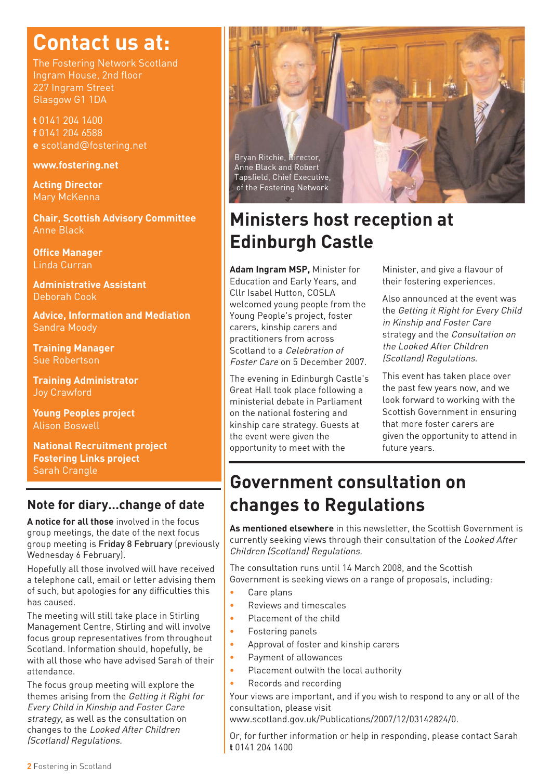## **Contact us at:**

The Fostering Network Scotland Ingram House, 2nd floor 227 Ingram Street Glasgow G1 1DA

**t** 0141 204 1400 **f** 0141 204 6588 **e** scotland@fostering.net

#### **www.fostering.net**

**Acting Director**  Mary McKenna

**Chair, Scottish Advisory Committee** Anne Black

**Office Manager** Linda Curran

**Administrative Assistant**  Deborah Cook

**Advice, Information and Mediation**  Sandra Moody

**Training Manager** Sue Robertson

**Training Administrator**  Joy Crawford

**Young Peoples project** Alison Boswell

**National Recruitment project Fostering Links project** Sarah Crangle

#### **Note for diary…change of date**

**A notice for all those** involved in the focus group meetings, the date of the next focus group meeting is Friday 8 February (previously Wednesday 6 February).

Hopefully all those involved will have received a telephone call, email or letter advising them of such, but apologies for any difficulties this has caused.

The meeting will still take place in Stirling Management Centre, Stirling and will involve focus group representatives from throughout Scotland. Information should, hopefully, be with all those who have advised Sarah of their attendance.

The focus group meeting will explore the themes arising from the Getting it Right for Every Child in Kinship and Foster Care strategy, as well as the consultation on changes to the Looked After Children (Scotland) Regulations.



### **Ministers host reception at Edinburgh Castle**

**Adam Ingram MSP,** Minister for Education and Early Years, and Cllr Isabel Hutton, COSLA welcomed young people from the Young People's project, foster carers, kinship carers and practitioners from across Scotland to a Celebration of Foster Care on 5 December 2007.

The evening in Edinburgh Castle's Great Hall took place following a ministerial debate in Parliament on the national fostering and kinship care strategy. Guests at the event were given the opportunity to meet with the

Minister, and give a flavour of their fostering experiences.

Also announced at the event was the Getting it Right for Every Child in Kinship and Foster Care strategy and the Consultation on the Looked After Children (Scotland) Regulations.

This event has taken place over the past few years now, and we look forward to working with the Scottish Government in ensuring that more foster carers are given the opportunity to attend in future years.

### **Government consultation on changes to Regulations**

**As mentioned elsewhere** in this newsletter, the Scottish Government is currently seeking views through their consultation of the Looked After Children (Scotland) Regulations.

The consultation runs until 14 March 2008, and the Scottish Government is seeking views on a range of proposals, including:

- **•** Care plans
- **•** Reviews and timescales
- **•** Placement of the child
- **•** Fostering panels
- **•** Approval of foster and kinship carers
- **•** Payment of allowances
- **•** Placement outwith the local authority
- **•** Records and recording

Your views are important, and if you wish to respond to any or all of the consultation, please visit

www.scotland.gov.uk/Publications/2007/12/03142824/0.

Or, for further information or help in responding, please contact Sarah **t** 0141 204 1400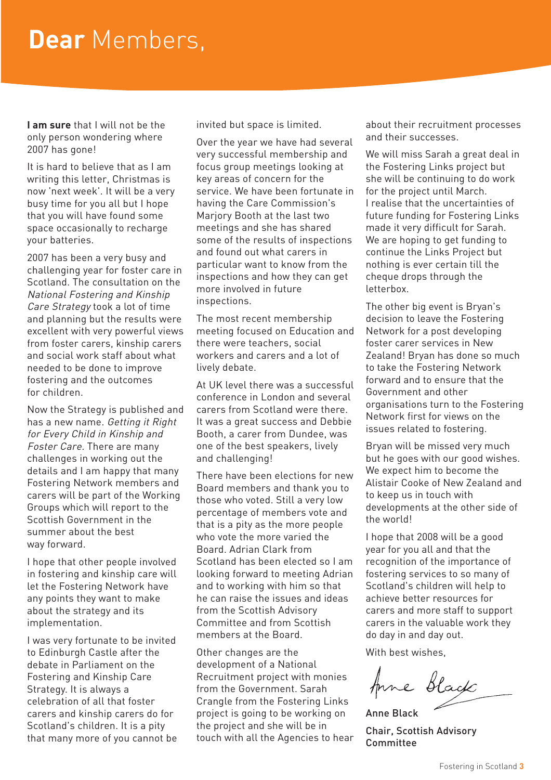## **Dear** Members,

**I am sure** that I will not be the only person wondering where 2007 has gone!

It is hard to believe that as I am writing this letter, Christmas is now 'next week'. It will be a very busy time for you all but I hope that you will have found some space occasionally to recharge your batteries.

2007 has been a very busy and challenging year for foster care in Scotland. The consultation on the National Fostering and Kinship Care Strategy took a lot of time and planning but the results were excellent with very powerful views from foster carers, kinship carers and social work staff about what needed to be done to improve fostering and the outcomes for children.

Now the Strategy is published and has a new name. Getting it Right for Every Child in Kinship and Foster Care. There are many challenges in working out the details and I am happy that many Fostering Network members and carers will be part of the Working Groups which will report to the Scottish Government in the summer about the best way forward.

I hope that other people involved in fostering and kinship care will let the Fostering Network have any points they want to make about the strategy and its implementation.

I was very fortunate to be invited to Edinburgh Castle after the debate in Parliament on the Fostering and Kinship Care Strategy. It is always a celebration of all that foster carers and kinship carers do for Scotland's children. It is a pity that many more of you cannot be invited but space is limited.

Over the year we have had several very successful membership and focus group meetings looking at key areas of concern for the service. We have been fortunate in having the Care Commission's Marjory Booth at the last two meetings and she has shared some of the results of inspections and found out what carers in particular want to know from the inspections and how they can get more involved in future inspections.

The most recent membership meeting focused on Education and there were teachers, social workers and carers and a lot of lively debate.

At UK level there was a successful conference in London and several carers from Scotland were there. It was a great success and Debbie Booth, a carer from Dundee, was one of the best speakers, lively and challenging!

There have been elections for new Board members and thank you to those who voted. Still a very low percentage of members vote and that is a pity as the more people who vote the more varied the Board. Adrian Clark from Scotland has been elected so I am looking forward to meeting Adrian and to working with him so that he can raise the issues and ideas from the Scottish Advisory Committee and from Scottish members at the Board.

Other changes are the development of a National Recruitment project with monies from the Government. Sarah Crangle from the Fostering Links project is going to be working on the project and she will be in touch with all the Agencies to hear about their recruitment processes and their successes.

We will miss Sarah a great deal in the Fostering Links project but she will be continuing to do work for the project until March. I realise that the uncertainties of future funding for Fostering Links made it very difficult for Sarah. We are hoping to get funding to continue the Links Project but nothing is ever certain till the cheque drops through the letterbox.

The other big event is Bryan's decision to leave the Fostering Network for a post developing foster carer services in New Zealand! Bryan has done so much to take the Fostering Network forward and to ensure that the Government and other organisations turn to the Fostering Network first for views on the issues related to fostering.

Bryan will be missed very much but he goes with our good wishes. We expect him to become the Alistair Cooke of New Zealand and to keep us in touch with developments at the other side of the world!

I hope that 2008 will be a good year for you all and that the recognition of the importance of fostering services to so many of Scotland's children will help to achieve better resources for carers and more staff to support carers in the valuable work they do day in and day out.

With best wishes,

Anne Black

Anne Black Chair, Scottish Advisory Committee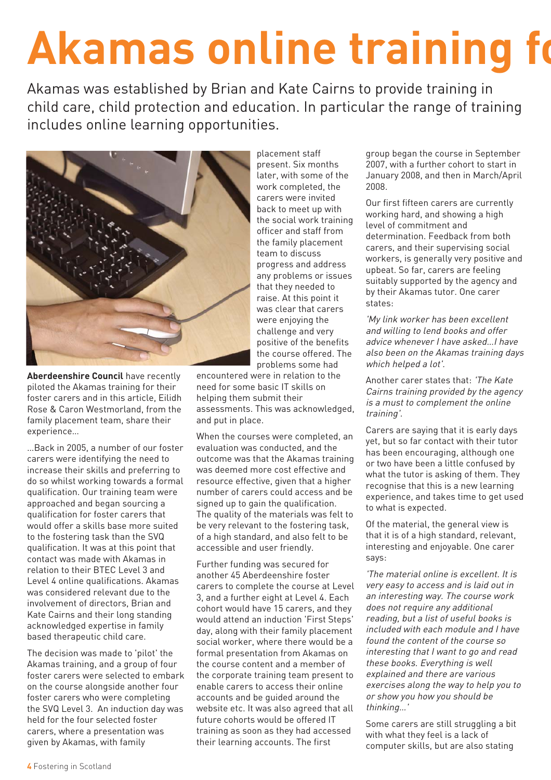## **Akamas online training fo**

Akamas was established by Brian and Kate Cairns to provide training in child care, child protection and education. In particular the range of training includes online learning opportunities.



**Aberdeenshire Council** have recently piloted the Akamas training for their foster carers and in this article, Eilidh Rose & Caron Westmorland, from the family placement team, share their experience…

…Back in 2005, a number of our foster carers were identifying the need to increase their skills and preferring to do so whilst working towards a formal qualification. Our training team were approached and began sourcing a qualification for foster carers that would offer a skills base more suited to the fostering task than the SVQ qualification. It was at this point that contact was made with Akamas in relation to their BTEC Level 3 and Level 4 online qualifications. Akamas was considered relevant due to the involvement of directors, Brian and Kate Cairns and their long standing acknowledged expertise in family based therapeutic child care.

The decision was made to 'pilot' the Akamas training, and a group of four foster carers were selected to embark on the course alongside another four foster carers who were completing the SVQ Level 3. An induction day was held for the four selected foster carers, where a presentation was given by Akamas, with family

placement staff present. Six months later, with some of the work completed, the carers were invited back to meet up with the social work training officer and staff from the family placement team to discuss progress and address any problems or issues that they needed to raise. At this point it was clear that carers were enjoying the challenge and very positive of the benefits the course offered. The problems some had

encountered were in relation to the need for some basic IT skills on helping them submit their assessments. This was acknowledged, and put in place.

When the courses were completed, an evaluation was conducted, and the outcome was that the Akamas training was deemed more cost effective and resource effective, given that a higher number of carers could access and be signed up to gain the qualification. The quality of the materials was felt to be very relevant to the fostering task, of a high standard, and also felt to be accessible and user friendly.

Further funding was secured for another 45 Aberdeenshire foster carers to complete the course at Level 3, and a further eight at Level 4. Each cohort would have 15 carers, and they would attend an induction 'First Steps' day, along with their family placement social worker, where there would be a formal presentation from Akamas on the course content and a member of the corporate training team present to enable carers to access their online accounts and be guided around the website etc. It was also agreed that all future cohorts would be offered IT training as soon as they had accessed their learning accounts. The first

group began the course in September 2007, with a further cohort to start in January 2008, and then in March/April 2008.

Our first fifteen carers are currently working hard, and showing a high level of commitment and determination. Feedback from both carers, and their supervising social workers, is generally very positive and upbeat. So far, carers are feeling suitably supported by the agency and by their Akamas tutor. One carer states:

'My link worker has been excellent and willing to lend books and offer advice whenever I have asked…I have also been on the Akamas training days which helped a lot'.

Another carer states that: 'The Kate Cairns training provided by the agency is a must to complement the online training'.

Carers are saying that it is early days yet, but so far contact with their tutor has been encouraging, although one or two have been a little confused by what the tutor is asking of them. They recognise that this is a new learning experience, and takes time to get used to what is expected.

Of the material, the general view is that it is of a high standard, relevant, interesting and enjoyable. One carer says:

'The material online is excellent. It is very easy to access and is laid out in an interesting way. The course work does not require any additional reading, but a list of useful books is included with each module and I have found the content of the course so interesting that I want to go and read these books. Everything is well explained and there are various exercises along the way to help you to or show you how you should be thinking…'

Some carers are still struggling a bit with what they feel is a lack of computer skills, but are also stating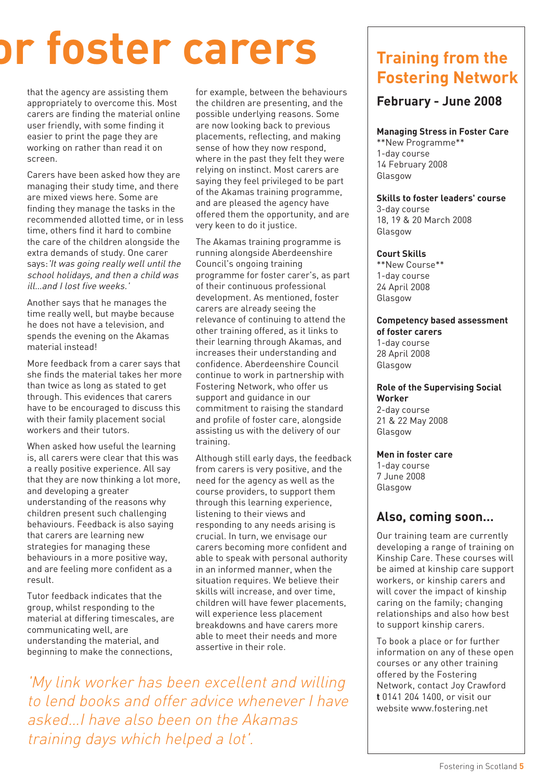## **or foster carers**

that the agency are assisting them appropriately to overcome this. Most carers are finding the material online user friendly, with some finding it easier to print the page they are working on rather than read it on screen.

Carers have been asked how they are managing their study time, and there are mixed views here. Some are finding they manage the tasks in the recommended allotted time, or in less time, others find it hard to combine the care of the children alongside the extra demands of study. One carer says:'It was going really well until the school holidays, and then a child was ill…and I lost five weeks.'

Another says that he manages the time really well, but maybe because he does not have a television, and spends the evening on the Akamas material instead!

More feedback from a carer says that she finds the material takes her more than twice as long as stated to get through. This evidences that carers have to be encouraged to discuss this with their family placement social workers and their tutors.

When asked how useful the learning is, all carers were clear that this was a really positive experience. All say that they are now thinking a lot more, and developing a greater understanding of the reasons why children present such challenging behaviours. Feedback is also saying that carers are learning new strategies for managing these behaviours in a more positive way, and are feeling more confident as a result.

Tutor feedback indicates that the group, whilst responding to the material at differing timescales, are communicating well, are understanding the material, and beginning to make the connections,

for example, between the behaviours the children are presenting, and the possible underlying reasons. Some are now looking back to previous placements, reflecting, and making sense of how they now respond, where in the past they felt they were relying on instinct. Most carers are saying they feel privileged to be part of the Akamas training programme, and are pleased the agency have offered them the opportunity, and are very keen to do it justice.

The Akamas training programme is running alongside Aberdeenshire Council's ongoing training programme for foster carer's, as part of their continuous professional development. As mentioned, foster carers are already seeing the relevance of continuing to attend the other training offered, as it links to their learning through Akamas, and increases their understanding and confidence. Aberdeenshire Council continue to work in partnership with Fostering Network, who offer us support and guidance in our commitment to raising the standard and profile of foster care, alongside assisting us with the delivery of our training.

Although still early days, the feedback from carers is very positive, and the need for the agency as well as the course providers, to support them through this learning experience, listening to their views and responding to any needs arising is crucial. In turn, we envisage our carers becoming more confident and able to speak with personal authority in an informed manner, when the situation requires. We believe their skills will increase, and over time, children will have fewer placements, will experience less placement breakdowns and have carers more able to meet their needs and more assertive in their role.

'My link worker has been excellent and willing to lend books and offer advice whenever I have asked…I have also been on the Akamas training days which helped a lot'.

#### **Training from the Fostering Network**

#### **February - June 2008**

#### **Managing Stress in Foster Care**

\*\*New Programme\*\* 1-day course 14 February 2008 Glasgow

#### **Skills to foster leaders' course**

3-day course 18, 19 & 20 March 2008 **Glasgow** 

#### **Court Skills**

\*\*New Course\*\* 1-day course 24 April 2008 **Glasgow** 

#### **Competency based assessment of foster carers**

1-day course 28 April 2008 Glasgow

#### **Role of the Supervising Social Worker**

2-day course 21 & 22 May 2008 **Glasgow** 

#### **Men in foster care**

1-day course 7 June 2008 Glasgow

#### **Also, coming soon…**

Our training team are currently developing a range of training on Kinship Care. These courses will be aimed at kinship care support workers, or kinship carers and will cover the impact of kinship caring on the family; changing relationships and also how best to support kinship carers.

To book a place or for further information on any of these open courses or any other training offered by the Fostering Network, contact Joy Crawford **t** 0141 204 1400, or visit our website www.fostering.net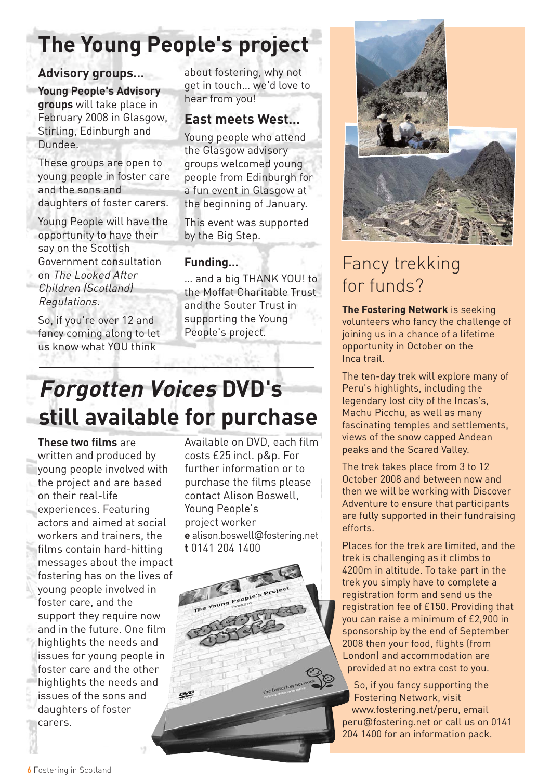## **The Young People's project**

#### **Advisory groups…**

**Young People's Advisory groups** will take place in February 2008 in Glasgow, Stirling, Edinburgh and Dundee.

These groups are open to young people in foster care and the sons and daughters of foster carers.

Young People will have the opportunity to have their say on the Scottish Government consultation on The Looked After Children (Scotland) Regulations.

So, if you're over 12 and fancy coming along to let us know what YOU think

about fostering, why not get in touch… we'd love to hear from you!

#### **East meets West…**

Young people who attend the Glasgow advisory groups welcomed young people from Edinburgh for a fun event in Glasgow at the beginning of January.

This event was supported by the Big Step.

#### **Funding…**

… and a big THANK YOU! to the Moffat Charitable Trust and the Souter Trust in supporting the Young People's project.



## Fancy trekking for funds?

**The Fostering Network** is seeking volunteers who fancy the challenge of joining us in a chance of a lifetime opportunity in October on the Inca trail.

The ten-day trek will explore many of Peru's highlights, including the legendary lost city of the Incas's, Machu Picchu, as well as many fascinating temples and settlements, views of the snow capped Andean peaks and the Scared Valley.

The trek takes place from 3 to 12 October 2008 and between now and then we will be working with Discover Adventure to ensure that participants are fully supported in their fundraising efforts.

Places for the trek are limited, and the trek is challenging as it climbs to 4200m in altitude. To take part in the trek you simply have to complete a registration form and send us the registration fee of £150. Providing that you can raise a minimum of £2,900 in sponsorship by the end of September 2008 then your food, flights (from London) and accommodation are provided at no extra cost to you.

So, if you fancy supporting the Fostering Network, visit www.fostering.net/peru, email peru@fostering.net or call us on 0141 204 1400 for an information pack.

## **Forgotten Voices DVD's still available for purchase**

**These two films** are

written and produced by young people involved with the project and are based on their real-life experiences. Featuring actors and aimed at social workers and trainers, the films contain hard-hitting messages about the impact fostering has on the lives of young people involved in foster care, and the support they require now and in the future. One film highlights the needs and issues for young people in foster care and the other highlights the needs and issues of the sons and daughters of foster carers.

Available on DVD, each film costs £25 incl. p&p. For further information or to purchase the films please contact Alison Boswell, Young People's project worker **e** alison.boswell@fostering.net **t** 0141 204 1400

the fostering nets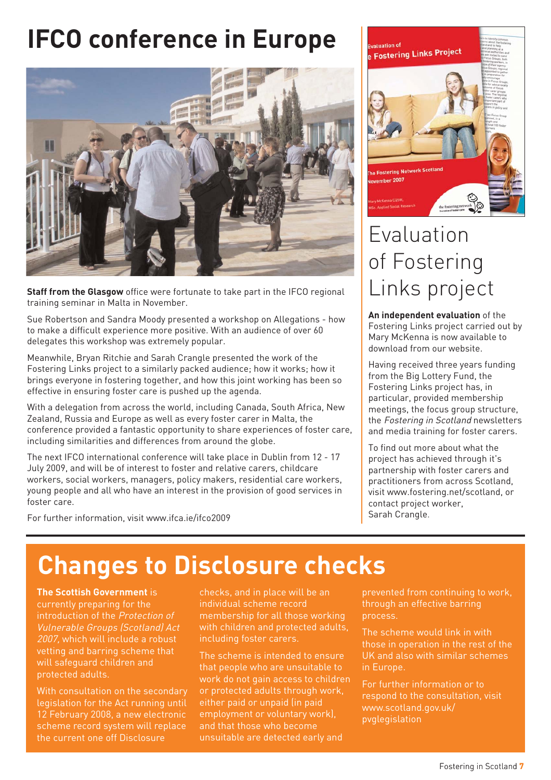## **IFCO conference in Europe**



**Staff from the Glasgow** office were fortunate to take part in the IFCO regional training seminar in Malta in November.

Sue Robertson and Sandra Moody presented a workshop on Allegations - how to make a difficult experience more positive. With an audience of over 60 delegates this workshop was extremely popular.

Meanwhile, Bryan Ritchie and Sarah Crangle presented the work of the Fostering Links project to a similarly packed audience; how it works; how it brings everyone in fostering together, and how this joint working has been so effective in ensuring foster care is pushed up the agenda.

With a delegation from across the world, including Canada, South Africa, New Zealand, Russia and Europe as well as every foster carer in Malta, the conference provided a fantastic opportunity to share experiences of foster care, including similarities and differences from around the globe.

The next IFCO international conference will take place in Dublin from 12 - 17 July 2009, and will be of interest to foster and relative carers, childcare workers, social workers, managers, policy makers, residential care workers, young people and all who have an interest in the provision of good services in foster care.

For further information, visit www.ifca.ie/ifco2009



## Evaluation of Fostering Links project

**An independent evaluation** of the Fostering Links project carried out by Mary McKenna is now available to download from our website.

Having received three years funding from the Big Lottery Fund, the Fostering Links project has, in particular, provided membership meetings, the focus group structure, the Fostering in Scotland newsletters and media training for foster carers.

To find out more about what the project has achieved through it's partnership with foster carers and practitioners from across Scotland, visit www.fostering.net/scotland, or contact project worker, Sarah Crangle.

## **Changes to Disclosure checks**

**The Scottish Government** is currently preparing for the introduction of the Protection of Vulnerable Groups (Scotland) Act 2007, which will include a robust vetting and barring scheme that will safeguard children and protected adults.

With consultation on the secondary legislation for the Act running until 12 February 2008, a new electronic scheme record system will replace the current one off Disclosure

checks, and in place will be an individual scheme record membership for all those working with children and protected adults, including foster carers.

The scheme is intended to ensure that people who are unsuitable to work do not gain access to children or protected adults through work, either paid or unpaid (in paid employment or voluntary work), and that those who become unsuitable are detected early and

prevented from continuing to work, through an effective barring process.

The scheme would link in with those in operation in the rest of the UK and also with similar schemes in Europe.

For further information or to respond to the consultation, visit www.scotland.gov.uk/ pvglegislation